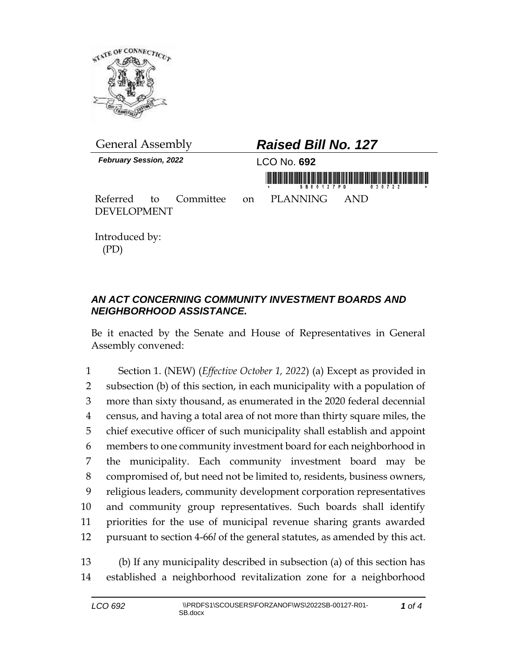

| <b>General Assembly</b>                                 | <b>Raised Bill No. 127</b>          |  |
|---------------------------------------------------------|-------------------------------------|--|
| <b>February Session, 2022</b>                           | LCO No. 692                         |  |
| Referred to Committee on PLANNING<br><b>DEVELOPMENT</b> | S B 0 0 1 2 7 P D<br>0.30722<br>AND |  |

Introduced by: (PD)

## *AN ACT CONCERNING COMMUNITY INVESTMENT BOARDS AND NEIGHBORHOOD ASSISTANCE.*

Be it enacted by the Senate and House of Representatives in General Assembly convened:

 Section 1. (NEW) (*Effective October 1, 2022*) (a) Except as provided in subsection (b) of this section, in each municipality with a population of more than sixty thousand, as enumerated in the 2020 federal decennial census, and having a total area of not more than thirty square miles, the chief executive officer of such municipality shall establish and appoint members to one community investment board for each neighborhood in the municipality. Each community investment board may be compromised of, but need not be limited to, residents, business owners, religious leaders, community development corporation representatives and community group representatives. Such boards shall identify priorities for the use of municipal revenue sharing grants awarded pursuant to section 4-66*l* of the general statutes, as amended by this act.

13 (b) If any municipality described in subsection (a) of this section has 14 established a neighborhood revitalization zone for a neighborhood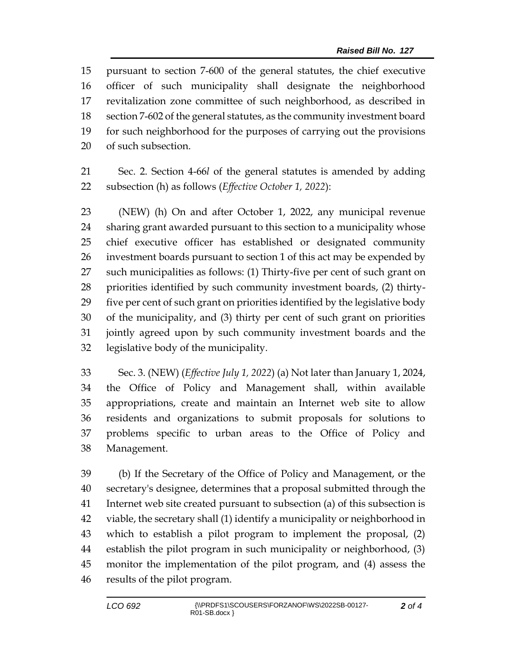pursuant to section 7-600 of the general statutes, the chief executive officer of such municipality shall designate the neighborhood revitalization zone committee of such neighborhood, as described in section 7-602 of the general statutes, as the community investment board for such neighborhood for the purposes of carrying out the provisions of such subsection.

 Sec. 2. Section 4-66*l* of the general statutes is amended by adding subsection (h) as follows (*Effective October 1, 2022*):

 (NEW) (h) On and after October 1, 2022, any municipal revenue sharing grant awarded pursuant to this section to a municipality whose chief executive officer has established or designated community investment boards pursuant to section 1 of this act may be expended by such municipalities as follows: (1) Thirty-five per cent of such grant on priorities identified by such community investment boards, (2) thirty- five per cent of such grant on priorities identified by the legislative body of the municipality, and (3) thirty per cent of such grant on priorities jointly agreed upon by such community investment boards and the legislative body of the municipality.

 Sec. 3. (NEW) (*Effective July 1, 2022*) (a) Not later than January 1, 2024, the Office of Policy and Management shall, within available appropriations, create and maintain an Internet web site to allow residents and organizations to submit proposals for solutions to problems specific to urban areas to the Office of Policy and Management.

 (b) If the Secretary of the Office of Policy and Management, or the secretary's designee, determines that a proposal submitted through the Internet web site created pursuant to subsection (a) of this subsection is viable, the secretary shall (1) identify a municipality or neighborhood in which to establish a pilot program to implement the proposal, (2) establish the pilot program in such municipality or neighborhood, (3) monitor the implementation of the pilot program, and (4) assess the results of the pilot program.

*of 4*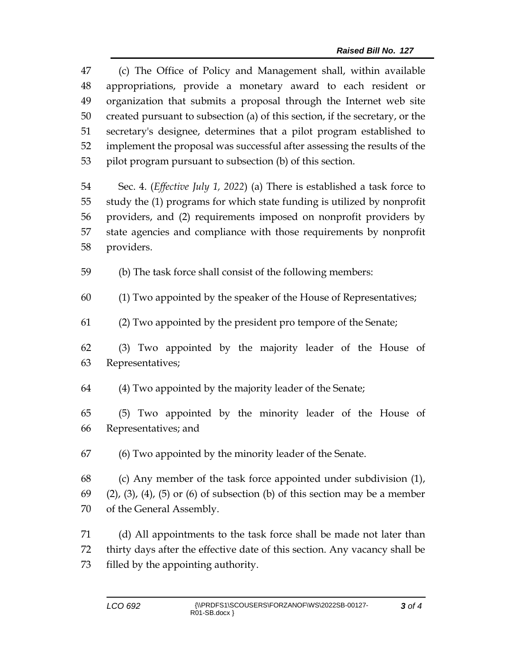| 47 | (c) The Office of Policy and Management shall, within available                            |  |  |
|----|--------------------------------------------------------------------------------------------|--|--|
| 48 | appropriations, provide a monetary award to each resident or                               |  |  |
| 49 | organization that submits a proposal through the Internet web site                         |  |  |
| 50 | created pursuant to subsection (a) of this section, if the secretary, or the               |  |  |
| 51 | secretary's designee, determines that a pilot program established to                       |  |  |
| 52 | implement the proposal was successful after assessing the results of the                   |  |  |
| 53 | pilot program pursuant to subsection (b) of this section.                                  |  |  |
| 54 | Sec. 4. ( <i>Effective July 1, 2022</i> ) (a) There is established a task force to         |  |  |
| 55 | study the (1) programs for which state funding is utilized by nonprofit                    |  |  |
| 56 | providers, and (2) requirements imposed on nonprofit providers by                          |  |  |
| 57 | state agencies and compliance with those requirements by nonprofit                         |  |  |
| 58 | providers.                                                                                 |  |  |
| 59 | (b) The task force shall consist of the following members:                                 |  |  |
| 60 | (1) Two appointed by the speaker of the House of Representatives;                          |  |  |
| 61 | (2) Two appointed by the president pro tempore of the Senate;                              |  |  |
| 62 | (3) Two appointed by the majority leader of the House of                                   |  |  |
| 63 | Representatives;                                                                           |  |  |
| 64 | (4) Two appointed by the majority leader of the Senate;                                    |  |  |
| 65 | (5) Two appointed by the minority leader of the House of                                   |  |  |
| 66 | Representatives; and                                                                       |  |  |
| 67 | (6) Two appointed by the minority leader of the Senate.                                    |  |  |
| 68 | (c) Any member of the task force appointed under subdivision (1),                          |  |  |
| 69 | $(2)$ , $(3)$ , $(4)$ , $(5)$ or $(6)$ of subsection $(b)$ of this section may be a member |  |  |
| 70 | of the General Assembly.                                                                   |  |  |
| 71 | (d) All appointments to the task force shall be made not later than                        |  |  |
| 72 | thirty days after the effective date of this section. Any vacancy shall be                 |  |  |

filled by the appointing authority.